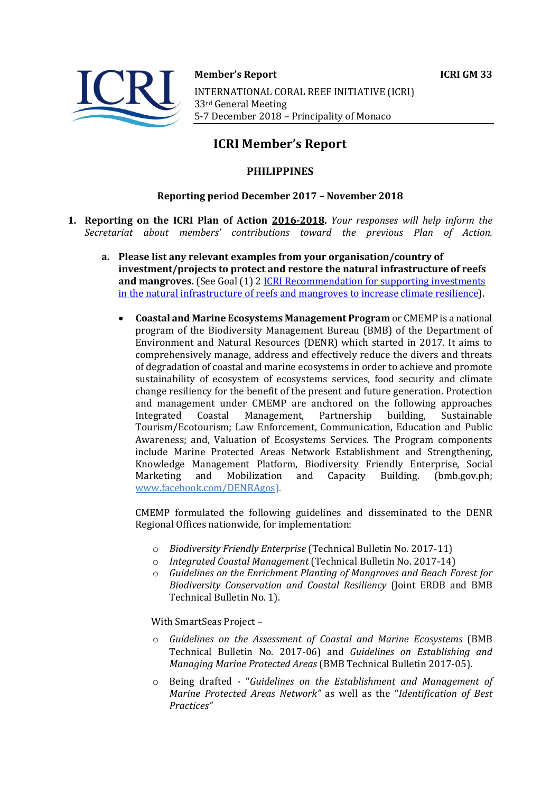



**Member's Report ICRI GM 33** 

INTERNATIONAL CORAL REEF INITIATIVE (ICRI) 33rd General Meeting 5-7 December 2018 - Principality of Monaco

# **ICRI Member's Report**

## **PHILIPPINES**

### **Reporting period December 2017 – November 2018**

- **1. Reporting on the ICRI Plan of Action 2016-2018.** *Your responses will help inform the Secretariat about members' contributions toward the previous Plan of Action.*
	- a. Please list any relevant examples from your organisation/country of **investment/projects to protect and restore the natural infrastructure of reefs and mangroves.** (See Goal (1) 2 ICRI Recommendation for supporting investments in the natural infrastructure of reefs and mangroves to increase climate resilience).
		- **Coastal and Marine Ecosystems Management Program** or CMEMP is a national program of the Biodiversity Management Bureau (BMB) of the Department of Environment and Natural Resources (DENR) which started in 2017. It aims to comprehensively manage, address and effectively reduce the divers and threats of degradation of coastal and marine ecosystems in order to achieve and promote sustainability of ecosystem of ecosystems services, food security and climate change resiliency for the benefit of the present and future generation. Protection and management under CMEMP are anchored on the following approaches Integrated Coastal Management, Partnership building, Sustainable Tourism/Ecotourism; Law Enforcement, Communication, Education and Public Awareness; and, Valuation of Ecosystems Services. The Program components include Marine Protected Areas Network Establishment and Strengthening, Knowledge Management Platform, Biodiversity Friendly Enterprise, Social Marketing and Mobilization and Capacity Building. (bmb.gov.ph; www.facebook.com/DENRAgos).

CMEMP formulated the following guidelines and disseminated to the DENR Regional Offices nationwide, for implementation:

- o *Biodiversity Friendly Enterprise* (Technical Bulletin No. 2017-11)
- o *Integrated Coastal Management* (Technical Bulletin No. 2017-14)
- $\circ$  *Guidelines on the Enrichment Planting of Mangroves and Beach Forest for Biodiversity Conservation and Coastal Resiliency* (Joint ERDB and BMB Technical Bulletin No. 1).

With SmartSeas Project -

- o *Guidelines on the Assessment of Coastal and Marine Ecosystems* (BMB Technical Bulletin No. 2017-06) and *Guidelines on Establishing and Managing Marine Protected Areas* (BMB Technical Bulletin 2017-05).
- o Being drafted "*Guidelines on the Establishment and Management of Marine Protected Areas Network"* as well as the "*Identification of Best Practices"*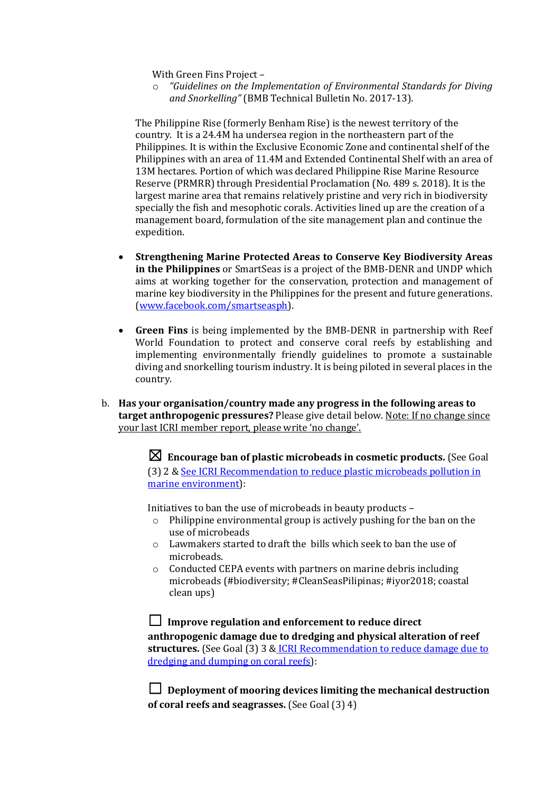With Green Fins Project -

 $\circ$  "Guidelines on the Implementation of Environmental Standards for Diving and Snorkelling" (BMB Technical Bulletin No. 2017-13).

The Philippine Rise (formerly Benham Rise) is the newest territory of the country. It is a 24.4M ha undersea region in the northeastern part of the Philippines. It is within the Exclusive Economic Zone and continental shelf of the Philippines with an area of 11.4M and Extended Continental Shelf with an area of 13M hectares. Portion of which was declared Philippine Rise Marine Resource Reserve (PRMRR) through Presidential Proclamation (No. 489 s. 2018). It is the largest marine area that remains relatively pristine and very rich in biodiversity specially the fish and mesophotic corals. Activities lined up are the creation of a management board, formulation of the site management plan and continue the expedition. 

- **Strengthening Marine Protected Areas to Conserve Key Biodiversity Areas in the Philippines** or SmartSeas is a project of the BMB-DENR and UNDP which aims at working together for the conservation, protection and management of marine key biodiversity in the Philippines for the present and future generations. (www.facebook.com/smartseasph).
- **Green Fins** is being implemented by the BMB-DENR in partnership with Reef World Foundation to protect and conserve coral reefs by establishing and implementing environmentally friendly guidelines to promote a sustainable diving and snorkelling tourism industry. It is being piloted in several places in the country.
- b. Has your organisation/country made any progress in the following areas to **target anthropogenic pressures?** Please give detail below. Note: If no change since your last ICRI member report, please write 'no change'.

 $\boxtimes$  Encourage ban of plastic microbeads in cosmetic products. (See Goal (3) 2 & See ICRI Recommendation to reduce plastic microbeads pollution in marine environment):

Initiatives to ban the use of microbeads in beauty products  $-$ 

- $\circ$  Philippine environmental group is actively pushing for the ban on the use of microbeads
- $\circ$  Lawmakers started to draft the bills which seek to ban the use of microbeads.
- $\circ$  Conducted CEPA events with partners on marine debris including microbeads (#biodiversity; #CleanSeasPilipinas; #iyor2018; coastal clean ups)

□ Improve regulation and enforcement to reduce direct anthropogenic damage due to dredging and physical alteration of reef structures. (See Goal (3) 3 & ICRI Recommendation to reduce damage due to dredging and dumping on coral reefs):

□ Deployment of mooring devices limiting the mechanical destruction **of coral reefs and seagrasses.** (See Goal (3) 4)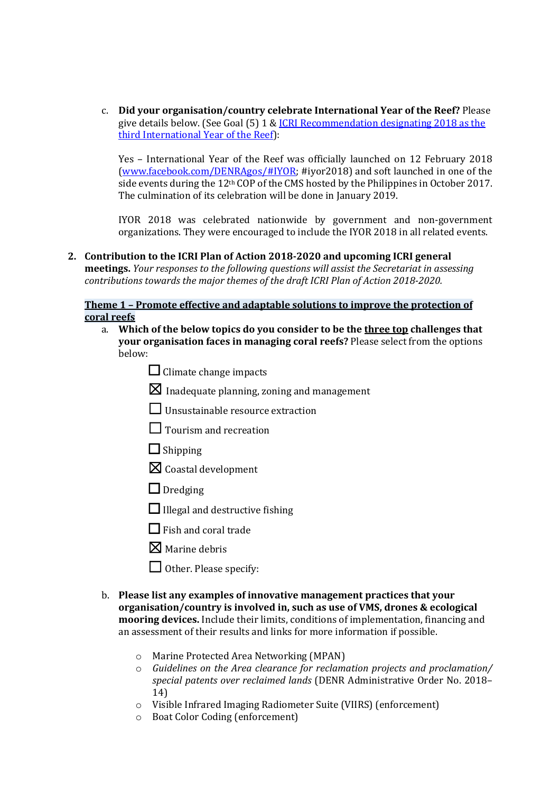c. **Did your organisation/country celebrate International Year of the Reef?** Please give details below. (See Goal  $(5)$  1 & ICRI Recommendation designating 2018 as the third International Year of the Reef):

Yes - International Year of the Reef was officially launched on 12 February 2018  $(wwwu.facebook.com/DENRAgos/HIYOR; #iyor2018)$  and soft launched in one of the side events during the 12<sup>th</sup> COP of the CMS hosted by the Philippines in October 2017. The culmination of its celebration will be done in January 2019.

IYOR 2018 was celebrated nationwide by government and non-government organizations. They were encouraged to include the IYOR 2018 in all related events.

#### 2. Contribution to the ICRI Plan of Action 2018-2020 and upcoming ICRI general

**meetings.** *Your responses to the following questions will assist the Secretariat in assessing contributions towards the major themes of the draft ICRI Plan of Action 2018-2020.* 

#### **Theme 1 - Promote effective and adaptable solutions to improve the protection of coral reefs**

- a. Which of the below topics do you consider to be the three top challenges that **your organisation faces in managing coral reefs?** Please select from the options below:
	- $\Box$  Climate change impacts
	- $\boxtimes$  Inadequate planning, zoning and management
	- $\Box$  Unsustainable resource extraction
	- $\Box$  Tourism and recreation
	- $\Box$  Shipping
	- $\boxtimes$  Coastal development
	- □ Dredging
	- $\Box$  Illegal and destructive fishing
	- $\Box$  Fish and coral trade
	- $\boxtimes$  Marine debris
	- $\Box$  Other. Please specify:
- b. Please list any examples of innovative management practices that your **organisation/country is involved in, such as use of VMS, drones & ecological mooring devices.** Include their limits, conditions of implementation, financing and an assessment of their results and links for more information if possible.
	- $\circ$  Marine Protected Area Networking (MPAN)
	- o *Guidelines on the Area clearance for reclamation projects and proclamation/*  special patents over reclaimed lands (DENR Administrative Order No. 2018– 14)
	- $\circ$  Visible Infrared Imaging Radiometer Suite (VIIRS) (enforcement)
	- o Boat Color Coding (enforcement)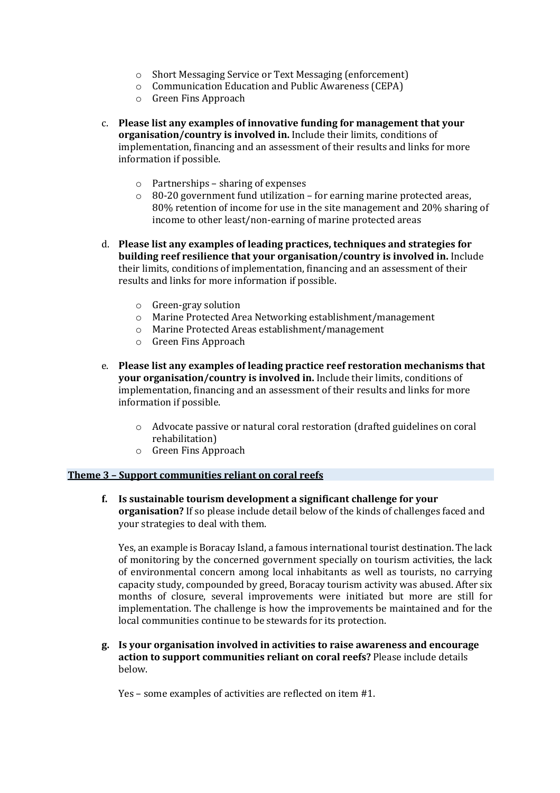- $\circ$  Short Messaging Service or Text Messaging (enforcement)
- o Communication Education and Public Awareness (CEPA)
- o Green Fins Approach
- c. Please list any examples of innovative funding for management that your **organisation/country is involved in.** Include their limits, conditions of implementation, financing and an assessment of their results and links for more information if possible.
	- $\circ$  Partnerships sharing of expenses
	- $\circ$  80-20 government fund utilization for earning marine protected areas, 80% retention of income for use in the site management and 20% sharing of income to other least/non-earning of marine protected areas
- d. Please list any examples of leading practices, techniques and strategies for **building reef resilience that your organisation/country is involved in.** Include their limits, conditions of implementation, financing and an assessment of their results and links for more information if possible.
	- o Green-gray solution
	- $\circ$  Marine Protected Area Networking establishment/management
	- o Marine Protected Areas establishment/management
	- $\circ$  Green Fins Approach
- e. Please list any examples of leading practice reef restoration mechanisms that **your organisation/country is involved in.** Include their limits, conditions of implementation, financing and an assessment of their results and links for more information if possible.
	- $\circ$  Advocate passive or natural coral restoration (drafted guidelines on coral rehabilitation)
	- o Green Fins Approach

#### **Theme 3 - Support communities reliant on coral reefs**

**f.** Is sustainable tourism development a significant challenge for your **organisation?** If so please include detail below of the kinds of challenges faced and your strategies to deal with them.

Yes, an example is Boracay Island, a famous international tourist destination. The lack of monitoring by the concerned government specially on tourism activities, the lack of environmental concern among local inhabitants as well as tourists, no carrying capacity study, compounded by greed, Boracay tourism activity was abused. After six months of closure, several improvements were initiated but more are still for implementation. The challenge is how the improvements be maintained and for the local communities continue to be stewards for its protection.

**g. Is your organisation involved in activities to raise awareness and encourage**  action to support communities reliant on coral reefs? Please include details below.

Yes – some examples of activities are reflected on item  $#1$ .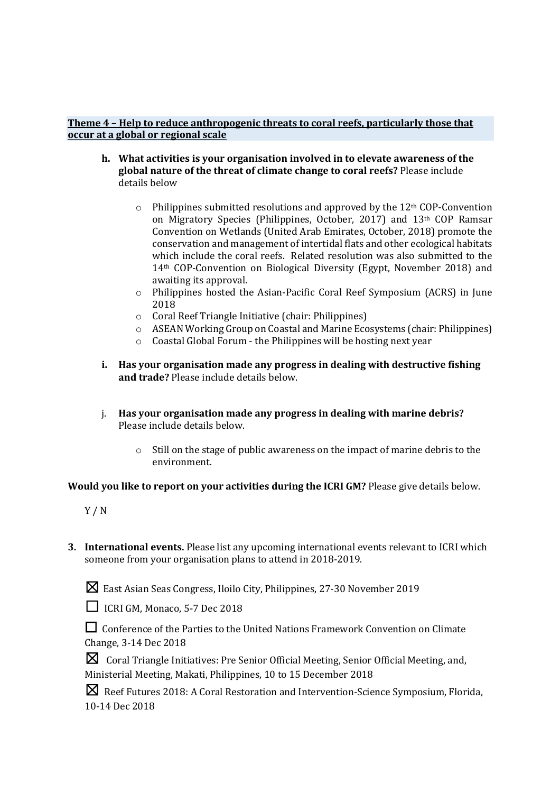#### **Theme 4 - Help to reduce anthropogenic threats to coral reefs, particularly those that occur at a global or regional scale**

- **h.** What activities is your organisation involved in to elevate awareness of the **global nature of the threat of climate change to coral reefs?** Please include details below
	- $\circ$  Philippines submitted resolutions and approved by the 12<sup>th</sup> COP-Convention on Migratory Species (Philippines, October, 2017) and 13<sup>th</sup> COP Ramsar Convention on Wetlands (United Arab Emirates, October, 2018) promote the conservation and management of intertidal flats and other ecological habitats which include the coral reefs. Related resolution was also submitted to the  $14<sup>th</sup>$  COP-Convention on Biological Diversity (Egypt, November 2018) and awaiting its approval.
	- $\circ$  Philippines hosted the Asian-Pacific Coral Reef Symposium (ACRS) in June 2018
	- $\circ$  Coral Reef Triangle Initiative (chair: Philippines)
	- o ASEAN Working Group on Coastal and Marine Ecosystems (chair: Philippines)
	- $\circ$  Coastal Global Forum the Philippines will be hosting next year
- **i.** Has your organisation made any progress in dealing with destructive fishing and trade? Please include details below.
- j. Has your organisation made any progress in dealing with marine debris? Please include details below.
	- $\circ$  Still on the stage of public awareness on the impact of marine debris to the environment.

**Would you like to report on your activities during the ICRI GM?** Please give details below.

- Y / N
- **3. International events.** Please list any upcoming international events relevant to ICRI which someone from your organisation plans to attend in 2018-2019.
	- $\boxtimes$  East Asian Seas Congress, Iloilo City, Philippines, 27-30 November 2019

□ **ICRI GM, Monaco, 5-7 Dec 2018** 

□ Conference of the Parties to the United Nations Framework Convention on Climate Change, 3-14 Dec 2018

☒Coral Triangle Initiatives: Pre Senior Official Meeting, Senior Official Meeting, and, Ministerial Meeting, Makati, Philippines, 10 to 15 December 2018

**X** Reef Futures 2018: A Coral Restoration and Intervention-Science Symposium, Florida, 10-14 Dec 2018